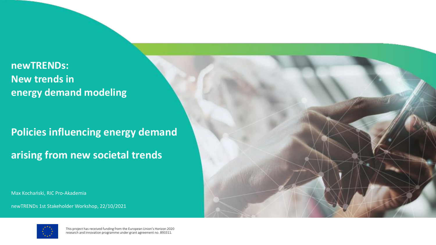#### **newTRENDs: New trends in energy demand modeling**

**Policies influencing energy demand arising from new societal trends**

Max Kochański, RIC Pro-Akademia

newTRENDs 1st Stakeholder Workshop, 22/10/2021

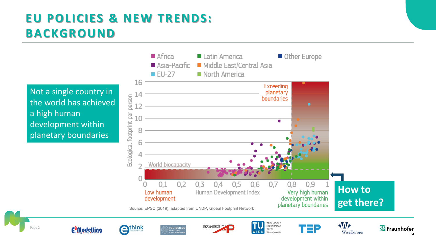### **EU POLICIES & NEW TRENDS: BACKGROUND**

Not a single country in the world has achieved a high human development within planetary boundaries

Page 2

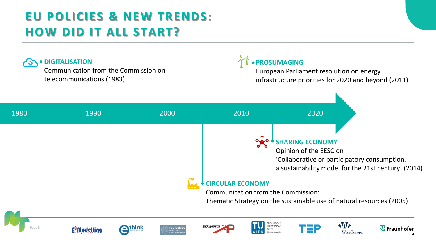### **EU POLICIES & NEW TRENDS: HOW DID IT ALL START?**



Page 3















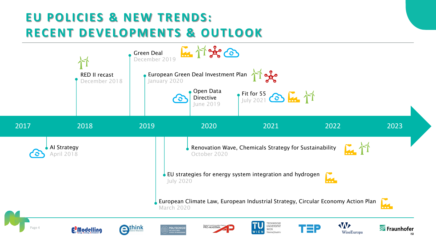#### **EU POLICIES & NEW TRENDS: RECENT DEVELOPMENTS & OUTLOOK**

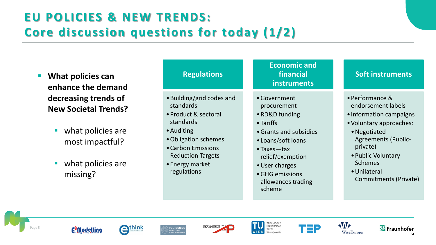# **EU POLICIES & NEW TRENDS: Core discussion questions for today (1/2)**

- **What policies can enhance the demand decreasing trends of New Societal Trends?**
	- what policies are most impactful?
	- what policies are missing?

| <b>Regulations</b>                                                                                                                                                                                    | <b>Economic and</b><br>financial<br>instruments                                                                                                                                                                                      | <b>Soft instruments</b>                                                                                                                                                                                                                |
|-------------------------------------------------------------------------------------------------------------------------------------------------------------------------------------------------------|--------------------------------------------------------------------------------------------------------------------------------------------------------------------------------------------------------------------------------------|----------------------------------------------------------------------------------------------------------------------------------------------------------------------------------------------------------------------------------------|
| • Building/grid codes and<br>standards<br>• Product & sectoral<br>standards<br>• Auditing<br>• Obligation schemes<br>• Carbon Emissions<br><b>Reduction Targets</b><br>• Energy market<br>regulations | • Government<br>procurement<br>• RD&D funding<br>$\bullet$ Tariffs<br>• Grants and subsidies<br>• Loans/soft loans<br>$\bullet$ Taxes — tax<br>relief/exemption<br>• User charges<br>• GHG emissions<br>allowances trading<br>scheme | • Performance &<br>endorsement labels<br>• Information campaigns<br>• Voluntary approaches:<br>• Negotiated<br><b>Agreements (Public-</b><br>private)<br>• Public Voluntary<br><b>Schemes</b><br>• Unilateral<br>Commitments (Private) |















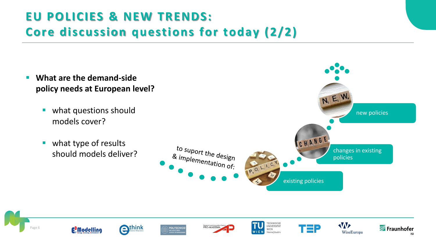# **EU POLICIES & NEW TRENDS: Core discussion questions for today (2/2)**

- **What are the demand-side policy needs at European level?**
	- what questions should models cover?
	- what type of results should models deliver?



W

WiseEuropa

'ΞP

**TECHNISCHE**<br>UNIVERSITÄT

Vienna | Austria

WIEN

Research and Innovation C<br>PRO-AKADEMIA





Fraunhofer